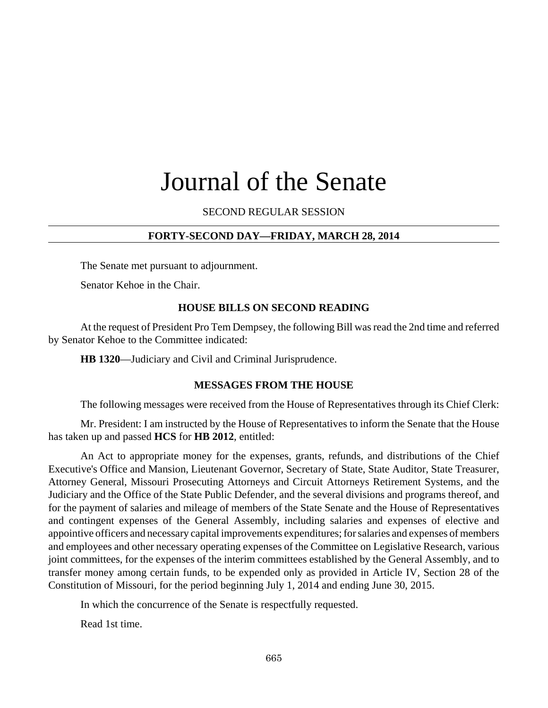# Journal of the Senate

SECOND REGULAR SESSION

### **FORTY-SECOND DAY—FRIDAY, MARCH 28, 2014**

The Senate met pursuant to adjournment.

Senator Kehoe in the Chair.

#### **HOUSE BILLS ON SECOND READING**

At the request of President Pro Tem Dempsey, the following Bill was read the 2nd time and referred by Senator Kehoe to the Committee indicated:

**HB 1320**—Judiciary and Civil and Criminal Jurisprudence.

#### **MESSAGES FROM THE HOUSE**

The following messages were received from the House of Representatives through its Chief Clerk:

Mr. President: I am instructed by the House of Representatives to inform the Senate that the House has taken up and passed **HCS** for **HB 2012**, entitled:

An Act to appropriate money for the expenses, grants, refunds, and distributions of the Chief Executive's Office and Mansion, Lieutenant Governor, Secretary of State, State Auditor, State Treasurer, Attorney General, Missouri Prosecuting Attorneys and Circuit Attorneys Retirement Systems, and the Judiciary and the Office of the State Public Defender, and the several divisions and programs thereof, and for the payment of salaries and mileage of members of the State Senate and the House of Representatives and contingent expenses of the General Assembly, including salaries and expenses of elective and appointive officers and necessary capital improvements expenditures; for salaries and expenses of members and employees and other necessary operating expenses of the Committee on Legislative Research, various joint committees, for the expenses of the interim committees established by the General Assembly, and to transfer money among certain funds, to be expended only as provided in Article IV, Section 28 of the Constitution of Missouri, for the period beginning July 1, 2014 and ending June 30, 2015.

In which the concurrence of the Senate is respectfully requested.

Read 1st time.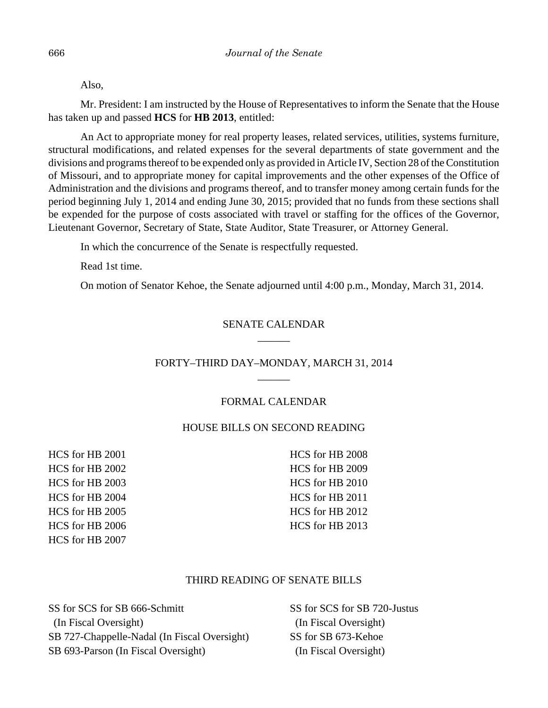Also,

Mr. President: I am instructed by the House of Representatives to inform the Senate that the House has taken up and passed **HCS** for **HB 2013**, entitled:

An Act to appropriate money for real property leases, related services, utilities, systems furniture, structural modifications, and related expenses for the several departments of state government and the divisions and programs thereof to be expended only as provided in Article IV, Section 28 of the Constitution of Missouri, and to appropriate money for capital improvements and the other expenses of the Office of Administration and the divisions and programs thereof, and to transfer money among certain funds for the period beginning July 1, 2014 and ending June 30, 2015; provided that no funds from these sections shall be expended for the purpose of costs associated with travel or staffing for the offices of the Governor, Lieutenant Governor, Secretary of State, State Auditor, State Treasurer, or Attorney General.

In which the concurrence of the Senate is respectfully requested.

Read 1st time.

On motion of Senator Kehoe, the Senate adjourned until 4:00 p.m., Monday, March 31, 2014.

## SENATE CALENDAR \_\_\_\_\_\_

## FORTY–THIRD DAY–MONDAY, MARCH 31, 2014  $\overline{\phantom{a}}$

## FORMAL CALENDAR

# HOUSE BILLS ON SECOND READING

HCS for HB 2001 HCS for HB 2002 HCS for HB 2003 HCS for HB 2004 HCS for HB 2005 HCS for HB 2006 HCS for HB 2007

HCS for HB 2008 HCS for HB 2009 HCS for HB 2010 HCS for HB 2011 HCS for HB 2012 HCS for HB 2013

## THIRD READING OF SENATE BILLS

SS for SCS for SB 666-Schmitt (In Fiscal Oversight) SB 727-Chappelle-Nadal (In Fiscal Oversight) SB 693-Parson (In Fiscal Oversight)

SS for SCS for SB 720-Justus (In Fiscal Oversight) SS for SB 673-Kehoe (In Fiscal Oversight)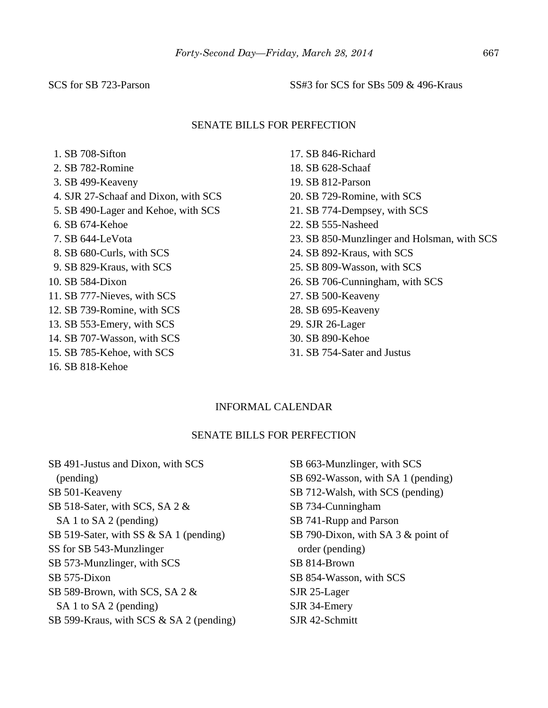SCS for SB 723-Parson SS#3 for SCS for SBs 509 & 496-Kraus

#### SENATE BILLS FOR PERFECTION

- 1. SB 708-Sifton
- 2. SB 782-Romine
- 3. SB 499-Keaveny
- 4. SJR 27-Schaaf and Dixon, with SCS
- 5. SB 490-Lager and Kehoe, with SCS
- 6. SB 674-Kehoe
- 7. SB 644-LeVota
- 8. SB 680-Curls, with SCS
- 9. SB 829-Kraus, with SCS
- 10. SB 584-Dixon
- 11. SB 777-Nieves, with SCS
- 12. SB 739-Romine, with SCS
- 13. SB 553-Emery, with SCS
- 14. SB 707-Wasson, with SCS
- 15. SB 785-Kehoe, with SCS
- 16. SB 818-Kehoe
- 17. SB 846-Richard
- 18. SB 628-Schaaf
- 19. SB 812-Parson
- 20. SB 729-Romine, with SCS
- 21. SB 774-Dempsey, with SCS
- 22. SB 555-Nasheed
- 23. SB 850-Munzlinger and Holsman, with SCS
- 24. SB 892-Kraus, with SCS
- 25. SB 809-Wasson, with SCS
- 26. SB 706-Cunningham, with SCS
- 27. SB 500-Keaveny
- 28. SB 695-Keaveny
- 29. SJR 26-Lager
- 30. SB 890-Kehoe
- 31. SB 754-Sater and Justus

#### INFORMAL CALENDAR

#### SENATE BILLS FOR PERFECTION

SB 491-Justus and Dixon, with SCS (pending) SB 501-Keaveny SB 518-Sater, with SCS, SA 2 & SA 1 to SA 2 (pending) SB 519-Sater, with SS & SA 1 (pending) SS for SB 543-Munzlinger SB 573-Munzlinger, with SCS SB 575-Dixon SB 589-Brown, with SCS, SA 2 & SA 1 to SA 2 (pending) SB 599-Kraus, with SCS & SA 2 (pending)

SB 663-Munzlinger, with SCS SB 692-Wasson, with SA 1 (pending) SB 712-Walsh, with SCS (pending) SB 734-Cunningham SB 741-Rupp and Parson SB 790-Dixon, with SA 3 & point of order (pending) SB 814-Brown SB 854-Wasson, with SCS SJR 25-Lager SJR 34-Emery SJR 42-Schmitt